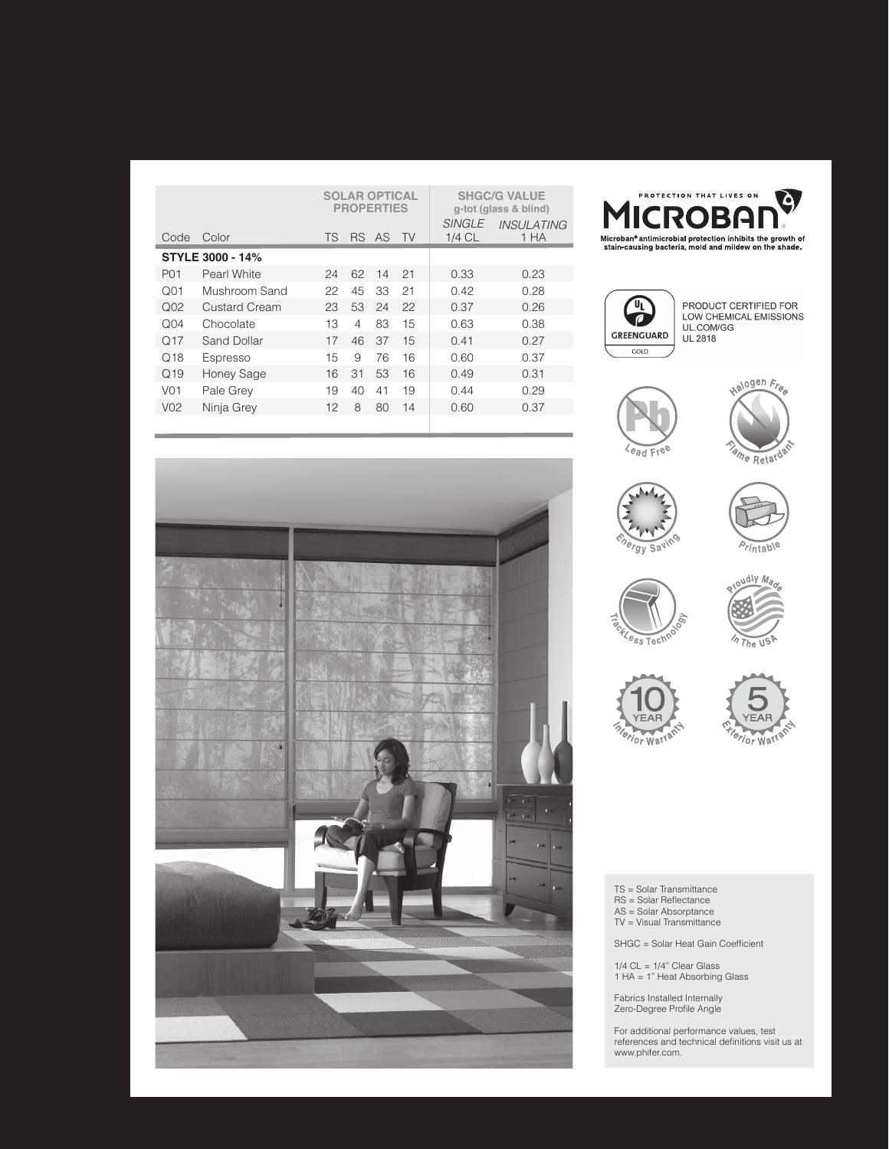|                         |                      | <b>SOLAR OPTICAL</b><br><b>PROPERTIES</b> |                |     |           | <b>SHGC/G VALUE</b><br>g-tot (glass & blind)<br>SINGLE<br><b>INSULATING</b> |      |
|-------------------------|----------------------|-------------------------------------------|----------------|-----|-----------|-----------------------------------------------------------------------------|------|
| Code                    | Color                | <b>TS</b>                                 | <b>RS</b>      | AS. | <b>TV</b> | $1/4$ CL                                                                    | 1 HA |
| <b>STYLE 3000 - 14%</b> |                      |                                           |                |     |           |                                                                             |      |
| P <sub>0</sub> 1        | Pearl White          | 24                                        | 62             | 14  | 21        | 0.33                                                                        | 0.23 |
| O <sub>01</sub>         | Mushroom Sand        | 22                                        | 45             | 33  | 21        | 0.42                                                                        | 0.28 |
| O <sub>02</sub>         | <b>Custard Cream</b> | 23                                        | 53             | 24  | 22        | 0.37                                                                        | 0.26 |
| Q <sub>04</sub>         | Chocolate            | 13                                        | $\overline{4}$ | 83  | 15        | 0.63                                                                        | 0.38 |
| O <sub>17</sub>         | Sand Dollar          | 17                                        | 46             | 37  | 15        | 0.41                                                                        | 0.27 |
| $\Omega$ 18             | Espresso             | 15                                        | 9              | 76  | 16        | 0.60                                                                        | 0.37 |
| Q <sub>19</sub>         | <b>Honey Sage</b>    | 16                                        | 31             | 53  | 16        | 0.49                                                                        | 0.31 |
| V <sub>0</sub> 1        | Pale Grey            | 19                                        | 40             | 41  | 19        | 0.44                                                                        | 0.29 |
| V <sub>02</sub>         | Ninja Grey           | 12                                        | 8              | 80  | 14        | 0.60                                                                        | 0.37 |
|                         |                      |                                           |                |     |           |                                                                             |      |





PRODUCT CERTIFIED FOR LOW CHEMICAL EMISSIONS<br>UL.COM/GG UL 2818

















TS = Solar Transmittance RS = Solar Reflectance AS = Solar Absorptance TV = Visual Transmittance

SHGC = Solar Heat Gain Coefficient

1/4 CL = 1/4" Clear Glass 1 HA = 1" Heat Absorbing Glass

Fabrics Installed Internally Zero-Degree Profile Angle

For additional performance values, test references and technical definitions visit us at www.phifer.com.